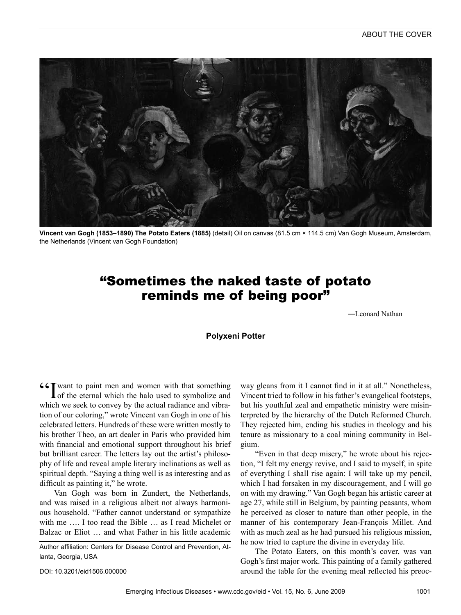

**Vincent van Gogh (1853–1890) The Potato Eaters (1885)** (detail) Oil on canvas (81.5 cm × 114.5 cm) Van Gogh Museum, Amsterdam, the Netherlands (Vincent van Gogh Foundation)

## "Sometimes the naked taste of potato reminds me of being poor"

―Leonard Nathan

## **Polyxeni Potter**

 $G_{\text{I}}$  want to paint men and women with that something Lof the eternal which the halo used to symbolize and which we seek to convey by the actual radiance and vibration of our coloring," wrote Vincent van Gogh in one of his celebrated letters. Hundreds of these were written mostly to his brother Theo, an art dealer in Paris who provided him with financial and emotional support throughout his brief but brilliant career. The letters lay out the artist's philosophy of life and reveal ample literary inclinations as well as spiritual depth. "Saying a thing well is as interesting and as difficult as painting it," he wrote.

Van Gogh was born in Zundert, the Netherlands, and was raised in a religious albeit not always harmonious household. "Father cannot understand or sympathize with me …. I too read the Bible … as I read Michelet or Balzac or Eliot … and what Father in his little academic

Author affiliation: Centers for Disease Control and Prevention, Atlanta, Georgia, USA

DOI: 10.3201/eid1506.000000

way gleans from it I cannot find in it at all." Nonetheless, Vincent tried to follow in his father's evangelical footsteps, but his youthful zeal and empathetic ministry were misinterpreted by the hierarchy of the Dutch Reformed Church. They rejected him, ending his studies in theology and his tenure as missionary to a coal mining community in Belgium.

"Even in that deep misery," he wrote about his rejection, "I felt my energy revive, and I said to myself, in spite of everything I shall rise again: I will take up my pencil, which I had forsaken in my discouragement, and I will go on with my drawing." Van Gogh began his artistic career at age 27, while still in Belgium, by painting peasants, whom he perceived as closer to nature than other people, in the manner of his contemporary Jean-François Millet. And with as much zeal as he had pursued his religious mission, he now tried to capture the divine in everyday life.

The Potato Eaters, on this month's cover, was van Gogh's first major work. This painting of a family gathered around the table for the evening meal reflected his preoc-